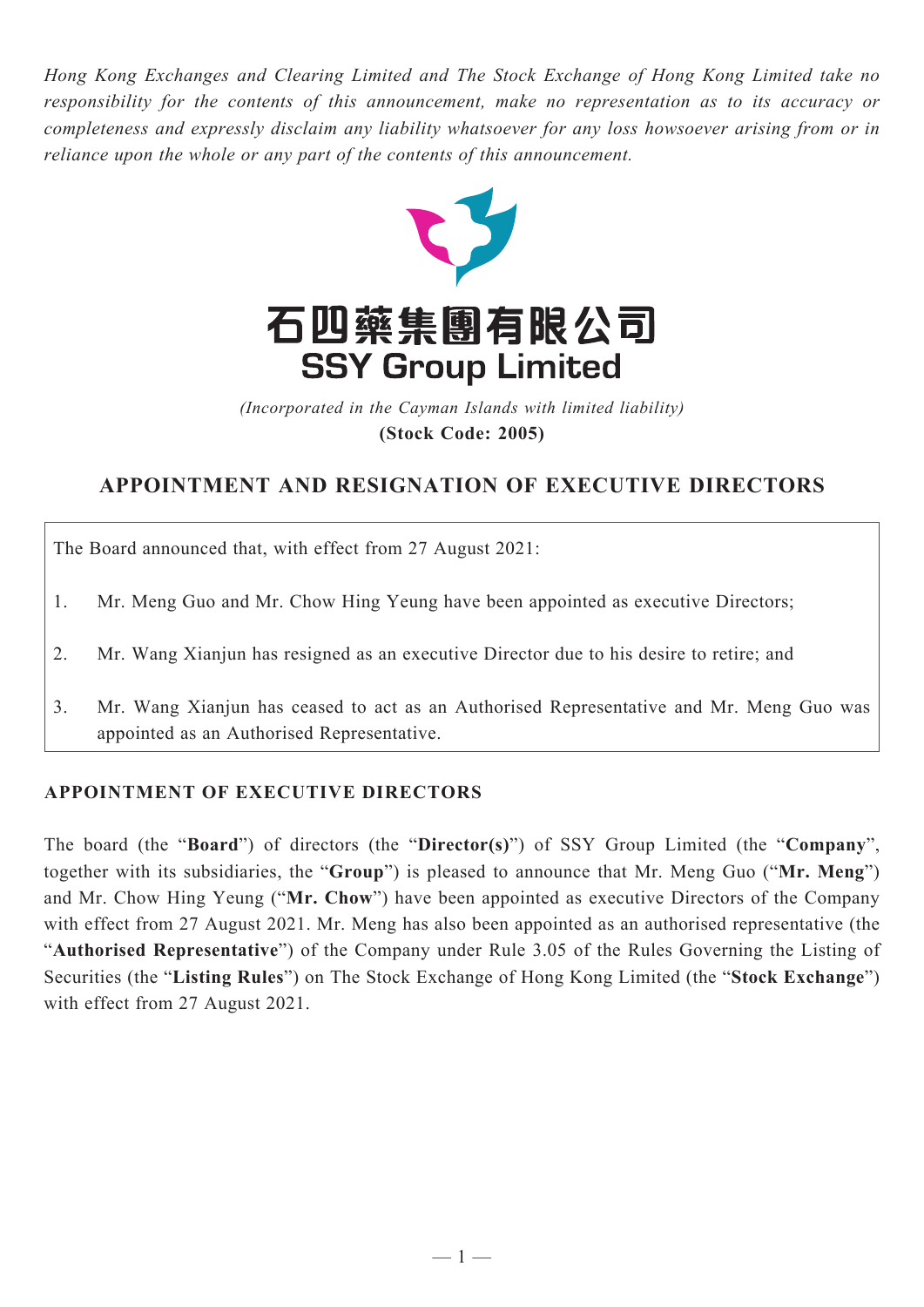*Hong Kong Exchanges and Clearing Limited and The Stock Exchange of Hong Kong Limited take no responsibility for the contents of this announcement, make no representation as to its accuracy or completeness and expressly disclaim any liability whatsoever for any loss howsoever arising from or in reliance upon the whole or any part of the contents of this announcement.*



(Incorporated in the Cayman Islands with limited liability) *(Incorporated in the Cayman Islands with limited liability)* **(Stock Code: 2005) (Stock Code: 2005)**

## **APPOINTMENT AND RESIGNATION OF EXECUTIVE DIRECTORS**

The Board announced that, with effect from 27 August 2021:

- 1. Mr. Meng Guo and Mr. Chow Hing Yeung have been appointed as executive Directors;
- 2. Mr. Wang Xianjun has resigned as an executive Director due to his desire to retire; and
- 3. Mr. Wang Xianjun has ceased to act as an Authorised Representative and Mr. Meng Guo was appointed as an Authorised Representative.

## **APPOINTMENT OF EXECUTIVE DIRECTORS**

The board (the "**Board**") of directors (the "**Director(s)**") of SSY Group Limited (the "**Company**", together with its subsidiaries, the "**Group**") is pleased to announce that Mr. Meng Guo ("**Mr. Meng**") and Mr. Chow Hing Yeung ("**Mr. Chow**") have been appointed as executive Directors of the Company with effect from 27 August 2021. Mr. Meng has also been appointed as an authorised representative (the "**Authorised Representative**") of the Company under Rule 3.05 of the Rules Governing the Listing of Securities (the "**Listing Rules**") on The Stock Exchange of Hong Kong Limited (the "**Stock Exchange**") with effect from 27 August 2021.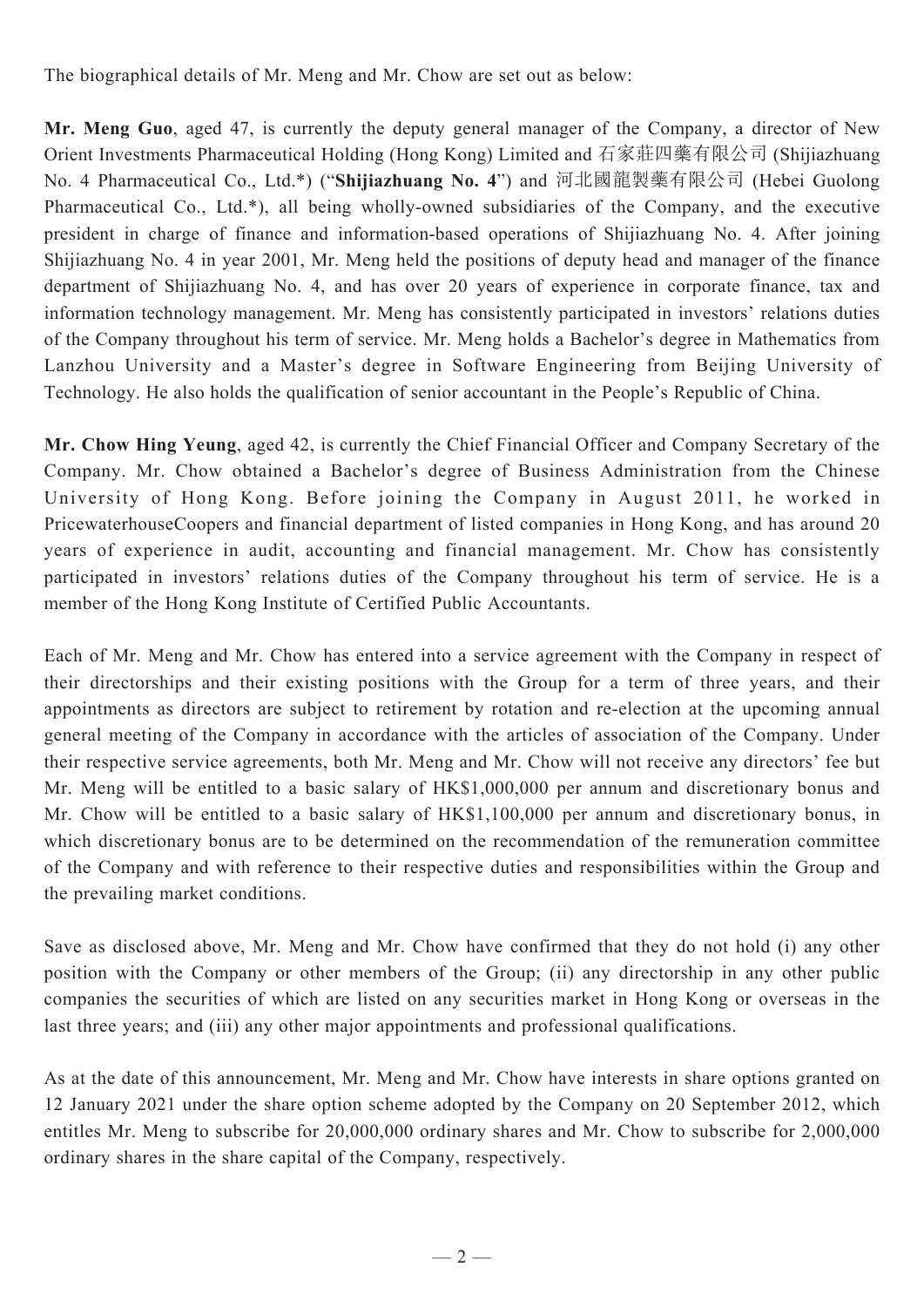The biographical details of Mr. Meng and Mr. Chow are set out as below:

**Mr. Meng Guo**, aged 47, is currently the deputy general manager of the Company, a director of New Orient Investments Pharmaceutical Holding (Hong Kong) Limited and 石家莊四藥有限公司 (Shijiazhuang No. 4 Pharmaceutical Co., Ltd.\*) ("**Shijiazhuang No. 4**") and 河北國龍製藥有限公司 (Hebei Guolong Pharmaceutical Co., Ltd.\*), all being wholly-owned subsidiaries of the Company, and the executive president in charge of finance and information-based operations of Shijiazhuang No. 4. After joining Shijiazhuang No. 4 in year 2001, Mr. Meng held the positions of deputy head and manager of the finance department of Shijiazhuang No. 4, and has over 20 years of experience in corporate finance, tax and information technology management. Mr. Meng has consistently participated in investors' relations duties of the Company throughout his term of service. Mr. Meng holds a Bachelor's degree in Mathematics from Lanzhou University and a Master's degree in Software Engineering from Beijing University of Technology. He also holds the qualification of senior accountant in the People's Republic of China.

**Mr. Chow Hing Yeung**, aged 42, is currently the Chief Financial Officer and Company Secretary of the Company. Mr. Chow obtained a Bachelor's degree of Business Administration from the Chinese University of Hong Kong. Before joining the Company in August 2011, he worked in PricewaterhouseCoopers and financial department of listed companies in Hong Kong, and has around 20 years of experience in audit, accounting and financial management. Mr. Chow has consistently participated in investors' relations duties of the Company throughout his term of service. He is a member of the Hong Kong Institute of Certified Public Accountants.

Each of Mr. Meng and Mr. Chow has entered into a service agreement with the Company in respect of their directorships and their existing positions with the Group for a term of three years, and their appointments as directors are subject to retirement by rotation and re-election at the upcoming annual general meeting of the Company in accordance with the articles of association of the Company. Under their respective service agreements, both Mr. Meng and Mr. Chow will not receive any directors' fee but Mr. Meng will be entitled to a basic salary of HK\$1,000,000 per annum and discretionary bonus and Mr. Chow will be entitled to a basic salary of HK\$1,100,000 per annum and discretionary bonus, in which discretionary bonus are to be determined on the recommendation of the remuneration committee of the Company and with reference to their respective duties and responsibilities within the Group and the prevailing market conditions.

Save as disclosed above, Mr. Meng and Mr. Chow have confirmed that they do not hold (i) any other position with the Company or other members of the Group; (ii) any directorship in any other public companies the securities of which are listed on any securities market in Hong Kong or overseas in the last three years; and (iii) any other major appointments and professional qualifications.

As at the date of this announcement, Mr. Meng and Mr. Chow have interests in share options granted on 12 January 2021 under the share option scheme adopted by the Company on 20 September 2012, which entitles Mr. Meng to subscribe for 20,000,000 ordinary shares and Mr. Chow to subscribe for 2,000,000 ordinary shares in the share capital of the Company, respectively.